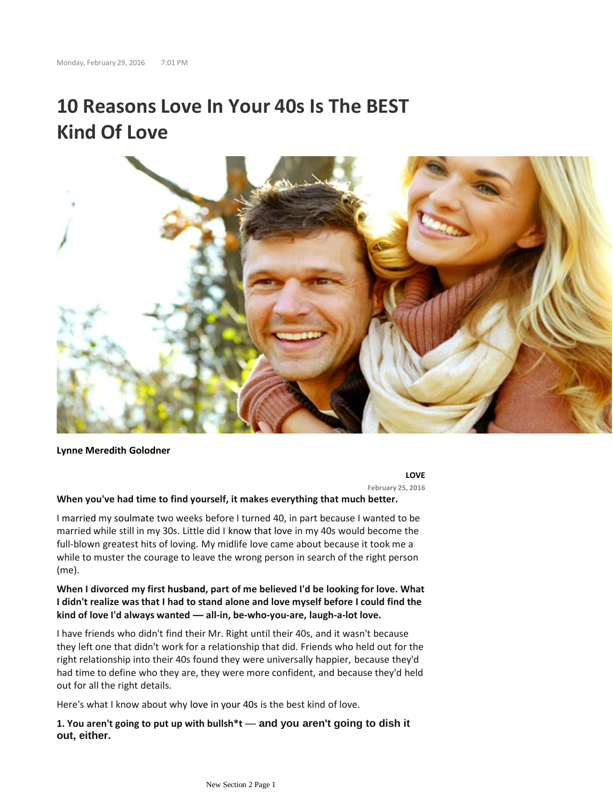# **10 Reasons Love In Your 40s Is The BEST Kind Of Love**



**Lynne Meredith Golodner**

**LOVE**

**February 25, 2016**

#### **When you've had time to find yourself, it makes everything that much better.**

I married my soulmate two weeks before I turned 40, in part because I wanted to be married while still in my 30s. Little did I know that love in my 40s would become the full-blown greatest hits of loving. My midlife love came about because it took me a while to muster the courage to leave the wrong person in search of the right person (me).

# **When I divorced my first husband, part of me believed I'd be looking for love. What I didn't realize was that I had to stand alone and love myself before I could find the kind of love I'd always wanted — all-in, be-who-you-are, laugh-a-lot love.**

I have friends who didn't find their Mr. Right until their 40s, and it wasn't because they left one that didn't work for a relationship that did. Friends who held out for the right relationship into their 40s found they were universally happier, because they'd had time to define who they are, they were more confident, and because they'd held out for all the right details.

Here's what I know about why love in your 40s is the best kind of love.

**1. You aren't going to put up with bullsh\*t** — **and you aren't going to dish it out, either.**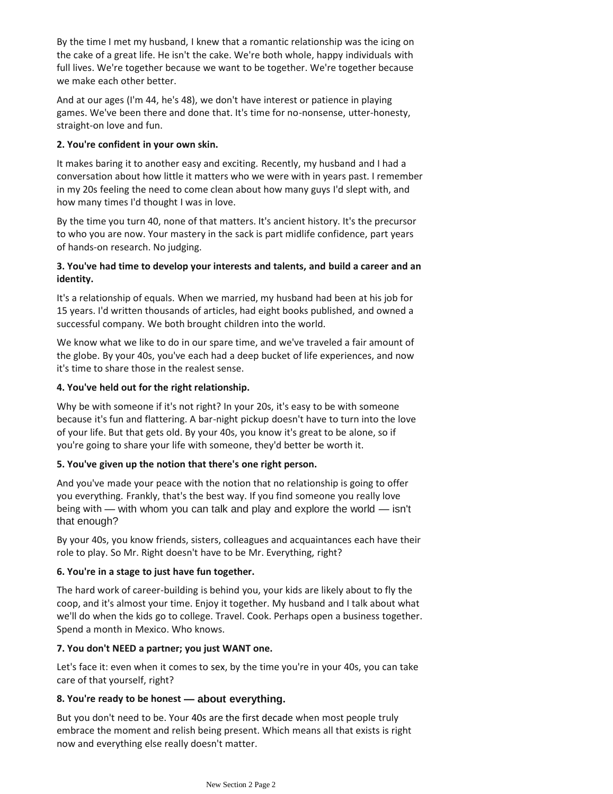By the time I met my husband, I knew that a romantic relationship was the icing on the cake of a great life. He isn't the cake. We're both whole, happy individuals with full lives. We're together because we want to be together. We're together because we make each other better.

And at our ages (I'm 44, he's 48), we don't have interest or patience in playing games. We've been there and done that. It's time for no-nonsense, utter-honesty, straight-on love and fun.

### **2. You're confident in your own skin.**

It makes baring it to another easy and exciting. Recently, my husband and I had a conversation about how little it matters who we were with in years past. I remember in my 20s feeling the need to come clean about how many guys I'd slept with, and how many times I'd thought I was in love.

By the time you turn 40, none of that matters. It's ancient history. It's the precursor to who you are now. Your mastery in the sack is part midlife confidence, part years of hands-on research. No judging.

# **3. You've had time to develop your interests and talents, and build a career and an identity.**

It's a relationship of equals. When we married, my husband had been at his job for 15 years. I'd written thousands of articles, had eight books published, and owned a successful company. We both brought children into the world.

We know what we like to do in our spare time, and we've traveled a fair amount of the globe. By your 40s, you've each had a deep bucket of life experiences, and now it's time to share those in the realest sense.

## **4. You've held out for the right relationship.**

Why be with someone if it's not right? In your 20s, it's easy to be with someone because it's fun and flattering. A bar-night pickup doesn't have to turn into the love of your life. But that gets old. By your 40s, you know it's great to be alone, so if you're going to share your life with someone, they'd better be worth it.

#### **5. You've given up the notion that there's one right person.**

And you've made your peace with the notion that no relationship is going to offer you everything. Frankly, that's the best way. If you find someone you really love being with — with whom you can talk and play and explore the world — isn't that enough?

By your 40s, you know friends, sisters, colleagues and acquaintances each have their role to play. So Mr. Right doesn't have to be Mr. Everything, right?

## **6. You're in a stage to just have fun together.**

The hard work of career-building is behind you, your kids are likely about to fly the coop, and it's almost your time. Enjoy it together. My husband and I talk about what we'll do when the kids go to college. Travel. Cook. Perhaps open a business together. Spend a month in Mexico. Who knows.

#### **7. You don't NEED a partner; you just WANT one.**

Let's face it: even when it comes to sex, by the time you're in your 40s, you can take care of that yourself, right?

## **8. You're ready to be honest — about everything.**

But you don't need to be. Your 40s are the first decade when most people truly embrace the moment and relish being present. Which means all that exists is right now and everything else really doesn't matter.